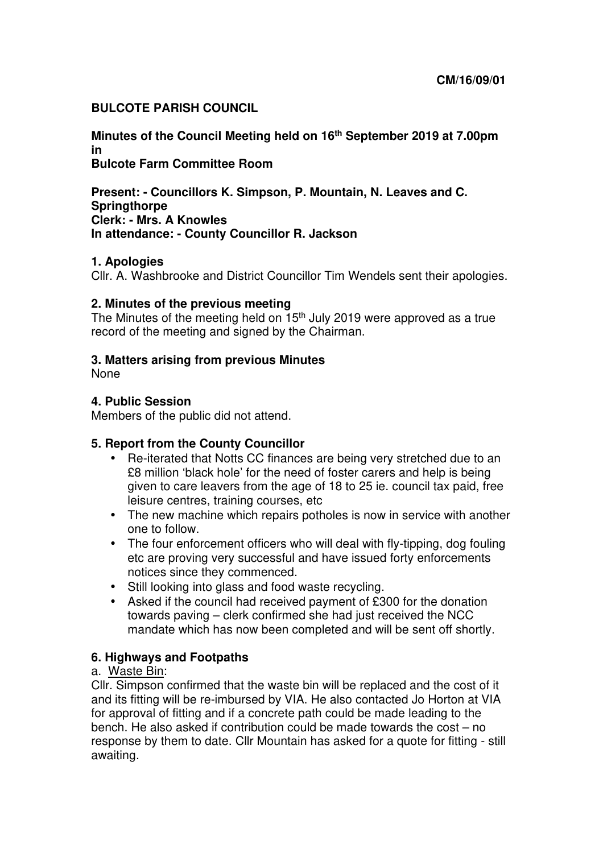## **BULCOTE PARISH COUNCIL**

**Minutes of the Council Meeting held on 16th September 2019 at 7.00pm in Bulcote Farm Committee Room** 

**Present: - Councillors K. Simpson, P. Mountain, N. Leaves and C. Springthorpe Clerk: - Mrs. A Knowles** 

## **In attendance: - County Councillor R. Jackson**

## **1. Apologies**

Cllr. A. Washbrooke and District Councillor Tim Wendels sent their apologies.

## **2. Minutes of the previous meeting**

The Minutes of the meeting held on 15<sup>th</sup> July 2019 were approved as a true record of the meeting and signed by the Chairman.

## **3. Matters arising from previous Minutes**

None

## **4. Public Session**

Members of the public did not attend.

## **5. Report from the County Councillor**

- Re-iterated that Notts CC finances are being very stretched due to an £8 million 'black hole' for the need of foster carers and help is being given to care leavers from the age of 18 to 25 ie. council tax paid, free leisure centres, training courses, etc
- The new machine which repairs potholes is now in service with another one to follow.
- The four enforcement officers who will deal with fly-tipping, dog fouling etc are proving very successful and have issued forty enforcements notices since they commenced.
- Still looking into glass and food waste recycling.
- Asked if the council had received payment of £300 for the donation towards paving – clerk confirmed she had just received the NCC mandate which has now been completed and will be sent off shortly.

#### **6. Highways and Footpaths**

## a. Waste Bin:

Cllr. Simpson confirmed that the waste bin will be replaced and the cost of it and its fitting will be re-imbursed by VIA. He also contacted Jo Horton at VIA for approval of fitting and if a concrete path could be made leading to the bench. He also asked if contribution could be made towards the cost – no response by them to date. Cllr Mountain has asked for a quote for fitting - still awaiting.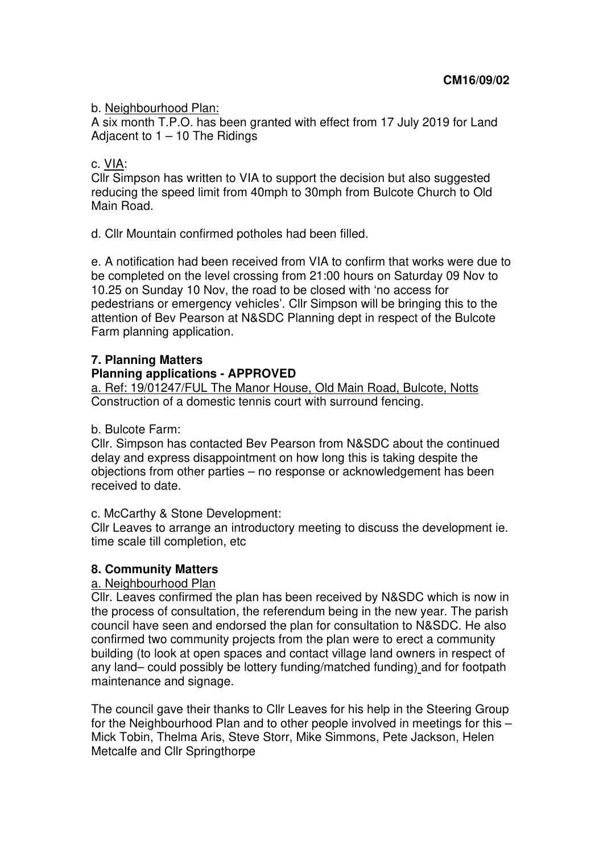b. Neighbourhood Plan:

A six month T.P.O. has been granted with effect from 17 July 2019 for Land Adjacent to  $1 - 10$  The Ridings

## c. VIA:

Cllr Simpson has written to VIA to support the decision but also suggested reducing the speed limit from 40mph to 30mph from Bulcote Church to Old Main Road.

d. Cllr Mountain confirmed potholes had been filled.

e. A notification had been received from VIA to confirm that works were due to be completed on the level crossing from 21:00 hours on Saturday 09 Nov to 10.25 on Sunday 10 Nov, the road to be closed with 'no access for pedestrians or emergency vehicles'. Cllr Simpson will be bringing this to the attention of Bev Pearson at N&SDC Planning dept in respect of the Bulcote Farm planning application.

# **7. Planning Matters**

# **Planning applications - APPROVED**

a. Ref: 19/01247/FUL The Manor House, Old Main Road, Bulcote, Notts Construction of a domestic tennis court with surround fencing.

## b. Bulcote Farm:

Cllr. Simpson has contacted Bev Pearson from N&SDC about the continued delay and express disappointment on how long this is taking despite the objections from other parties – no response or acknowledgement has been received to date.

## c. McCarthy & Stone Development:

Cllr Leaves to arrange an introductory meeting to discuss the development ie. time scale till completion, etc

# **8. Community Matters**

# a. Neighbourhood Plan

Cllr. Leaves confirmed the plan has been received by N&SDC which is now in the process of consultation, the referendum being in the new year. The parish council have seen and endorsed the plan for consultation to N&SDC. He also confirmed two community projects from the plan were to erect a community building (to look at open spaces and contact village land owners in respect of any land– could possibly be lottery funding/matched funding) and for footpath maintenance and signage.

The council gave their thanks to Cllr Leaves for his help in the Steering Group for the Neighbourhood Plan and to other people involved in meetings for this – Mick Tobin, Thelma Aris, Steve Storr, Mike Simmons, Pete Jackson, Helen Metcalfe and Cllr Springthorpe